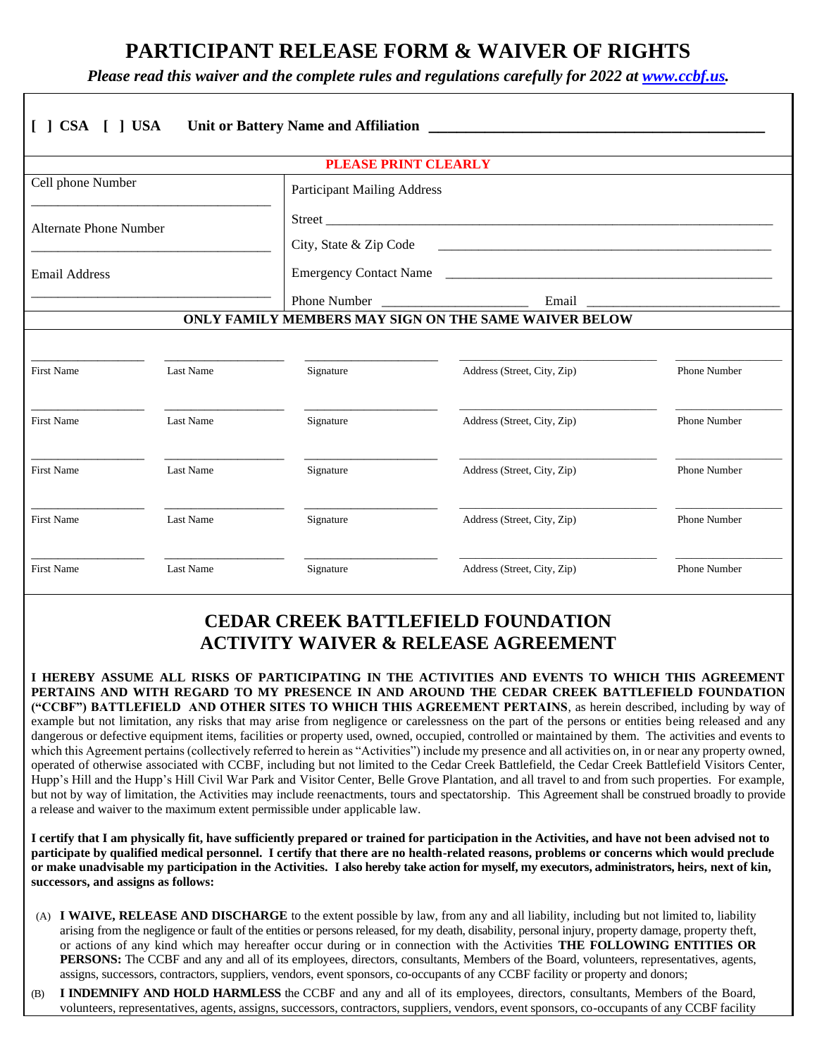## **PARTICIPANT RELEASE FORM & WAIVER OF RIGHTS**

*Please read this waiver and the complete rules and regulations carefully for 2022 at [www.ccbf.us.](http://www.ccbf.us/)*

|                                                             |           | <b>PLEASE PRINT CLEARLY</b>                           |                             |                     |
|-------------------------------------------------------------|-----------|-------------------------------------------------------|-----------------------------|---------------------|
| Cell phone Number                                           |           | <b>Participant Mailing Address</b>                    |                             |                     |
| Alternate Phone Number<br><b>Email Address</b>              |           | City, State & Zip Code                                |                             |                     |
|                                                             |           |                                                       |                             |                     |
|                                                             |           |                                                       |                             | Phone Number        |
|                                                             |           | ONLY FAMILY MEMBERS MAY SIGN ON THE SAME WAIVER BELOW |                             |                     |
|                                                             |           |                                                       |                             |                     |
| <b>First Name</b>                                           | Last Name | Signature                                             | Address (Street, City, Zip) | Phone Number        |
|                                                             | Last Name | Signature                                             | Address (Street, City, Zip) | <b>Phone Number</b> |
|                                                             |           |                                                       |                             |                     |
|                                                             | Last Name | Signature                                             | Address (Street, City, Zip) | Phone Number        |
| <b>First Name</b><br><b>First Name</b><br><b>First Name</b> | Last Name | Signature                                             | Address (Street, City, Zip) | Phone Number        |

## **CEDAR CREEK BATTLEFIELD FOUNDATION ACTIVITY WAIVER & RELEASE AGREEMENT**

**I HEREBY ASSUME ALL RISKS OF PARTICIPATING IN THE ACTIVITIES AND EVENTS TO WHICH THIS AGREEMENT PERTAINS AND WITH REGARD TO MY PRESENCE IN AND AROUND THE CEDAR CREEK BATTLEFIELD FOUNDATION ("CCBF") BATTLEFIELD AND OTHER SITES TO WHICH THIS AGREEMENT PERTAINS**, as herein described, including by way of example but not limitation, any risks that may arise from negligence or carelessness on the part of the persons or entities being released and any dangerous or defective equipment items, facilities or property used, owned, occupied, controlled or maintained by them. The activities and events to which this Agreement pertains (collectively referred to herein as "Activities") include my presence and all activities on, in or near any property owned, operated of otherwise associated with CCBF, including but not limited to the Cedar Creek Battlefield, the Cedar Creek Battlefield Visitors Center, Hupp's Hill and the Hupp's Hill Civil War Park and Visitor Center, Belle Grove Plantation, and all travel to and from such properties. For example, but not by way of limitation, the Activities may include reenactments, tours and spectatorship. This Agreement shall be construed broadly to provide a release and waiver to the maximum extent permissible under applicable law.

**I certify that I am physically fit, have sufficiently prepared or trained for participation in the Activities, and have not been advised not to participate by qualified medical personnel. I certify that there are no health-related reasons, problems or concerns which would preclude or make unadvisable my participation in the Activities. I also hereby take action for myself, my executors, administrators, heirs, next of kin, successors, and assigns as follows:**

- (A) **I WAIVE, RELEASE AND DISCHARGE** to the extent possible by law, from any and all liability, including but not limited to, liability arising from the negligence or fault of the entities or persons released, for my death, disability, personal injury, property damage, property theft, or actions of any kind which may hereafter occur during or in connection with the Activities **THE FOLLOWING ENTITIES OR PERSONS:** The CCBF and any and all of its employees, directors, consultants, Members of the Board, volunteers, representatives, agents, assigns, successors, contractors, suppliers, vendors, event sponsors, co-occupants of any CCBF facility or property and donors;
- (B) **I INDEMNIFY AND HOLD HARMLESS** the CCBF and any and all of its employees, directors, consultants, Members of the Board, volunteers, representatives, agents, assigns, successors, contractors, suppliers, vendors, event sponsors, co-occupants of any CCBF facility